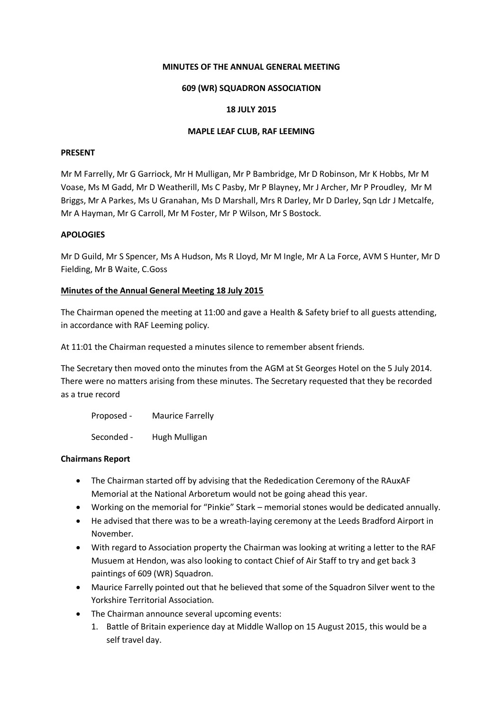## **MINUTES OF THE ANNUAL GENERAL MEETING**

# **609 (WR) SQUADRON ASSOCIATION**

# **18 JULY 2015**

# **MAPLE LEAF CLUB, RAF LEEMING**

# **PRESENT**

Mr M Farrelly, Mr G Garriock, Mr H Mulligan, Mr P Bambridge, Mr D Robinson, Mr K Hobbs, Mr M Voase, Ms M Gadd, Mr D Weatherill, Ms C Pasby, Mr P Blayney, Mr J Archer, Mr P Proudley, Mr M Briggs, Mr A Parkes, Ms U Granahan, Ms D Marshall, Mrs R Darley, Mr D Darley, Sqn Ldr J Metcalfe, Mr A Hayman, Mr G Carroll, Mr M Foster, Mr P Wilson, Mr S Bostock.

# **APOLOGIES**

Mr D Guild, Mr S Spencer, Ms A Hudson, Ms R Lloyd, Mr M Ingle, Mr A La Force, AVM S Hunter, Mr D Fielding, Mr B Waite, C.Goss

## **Minutes of the Annual General Meeting 18 July 2015**

The Chairman opened the meeting at 11:00 and gave a Health & Safety brief to all guests attending, in accordance with RAF Leeming policy.

At 11:01 the Chairman requested a minutes silence to remember absent friends.

The Secretary then moved onto the minutes from the AGM at St Georges Hotel on the 5 July 2014. There were no matters arising from these minutes. The Secretary requested that they be recorded as a true record

Proposed - Maurice Farrelly Seconded - Hugh Mulligan

# **Chairmans Report**

- The Chairman started off by advising that the Rededication Ceremony of the RAuxAF Memorial at the National Arboretum would not be going ahead this year.
- Working on the memorial for "Pinkie" Stark memorial stones would be dedicated annually.
- He advised that there was to be a wreath-laying ceremony at the Leeds Bradford Airport in November.
- With regard to Association property the Chairman was looking at writing a letter to the RAF Musuem at Hendon, was also looking to contact Chief of Air Staff to try and get back 3 paintings of 609 (WR) Squadron.
- Maurice Farrelly pointed out that he believed that some of the Squadron Silver went to the Yorkshire Territorial Association.
- The Chairman announce several upcoming events:
	- 1. Battle of Britain experience day at Middle Wallop on 15 August 2015, this would be a self travel day.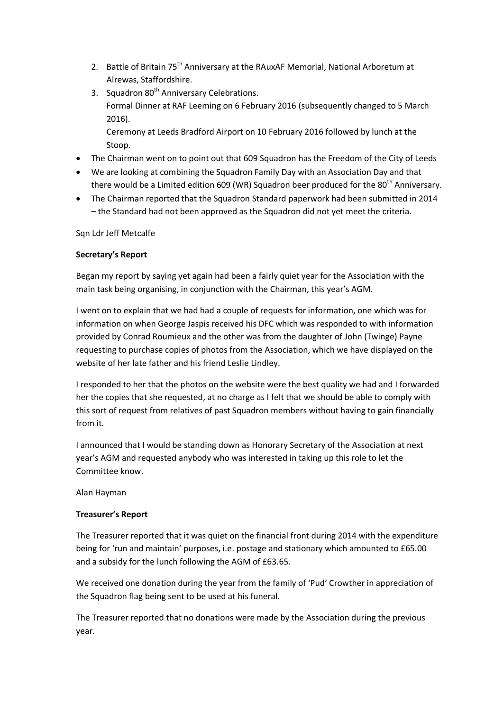- 2. Battle of Britain 75<sup>th</sup> Anniversary at the RAuxAF Memorial, National Arboretum at Alrewas, Staffordshire.
- 3. Squadron 80<sup>th</sup> Anniversary Celebrations. Formal Dinner at RAF Leeming on 6 February 2016 (subsequently changed to 5 March 2016). Ceremony at Leeds Bradford Airport on 10 February 2016 followed by lunch at the
- Stoop. • The Chairman went on to point out that 609 Squadron has the Freedom of the City of Leeds
- We are looking at combining the Squadron Family Day with an Association Day and that there would be a Limited edition 609 (WR) Squadron beer produced for the 80<sup>th</sup> Anniversary.
- The Chairman reported that the Squadron Standard paperwork had been submitted in 2014 – the Standard had not been approved as the Squadron did not yet meet the criteria.

Sqn Ldr Jeff Metcalfe

# **Secretary's Report**

Began my report by saying yet again had been a fairly quiet year for the Association with the main task being organising, in conjunction with the Chairman, this year's AGM.

I went on to explain that we had had a couple of requests for information, one which was for information on when George Jaspis received his DFC which was responded to with information provided by Conrad Roumieux and the other was from the daughter of John (Twinge) Payne requesting to purchase copies of photos from the Association, which we have displayed on the website of her late father and his friend Leslie Lindley.

I responded to her that the photos on the website were the best quality we had and I forwarded her the copies that she requested, at no charge as I felt that we should be able to comply with this sort of request from relatives of past Squadron members without having to gain financially from it.

I announced that I would be standing down as Honorary Secretary of the Association at next year's AGM and requested anybody who was interested in taking up this role to let the Committee know.

Alan Hayman

# **Treasurer's Report**

The Treasurer reported that it was quiet on the financial front during 2014 with the expenditure being for 'run and maintain' purposes, i.e. postage and stationary which amounted to £65.00 and a subsidy for the lunch following the AGM of £63.65.

We received one donation during the year from the family of 'Pud' Crowther in appreciation of the Squadron flag being sent to be used at his funeral.

The Treasurer reported that no donations were made by the Association during the previous year.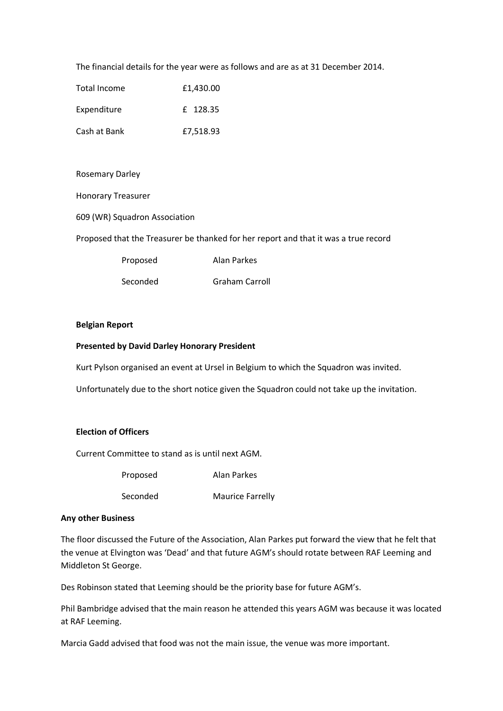The financial details for the year were as follows and are as at 31 December 2014.

| Total Income | £1,430.00 |
|--------------|-----------|
| Expenditure  | f 128.35  |
| Cash at Bank | £7,518.93 |

Rosemary Darley

Honorary Treasurer

609 (WR) Squadron Association

Proposed that the Treasurer be thanked for her report and that it was a true record

Proposed Alan Parkes

Seconded Graham Carroll

### **Belgian Report**

#### **Presented by David Darley Honorary President**

Kurt Pylson organised an event at Ursel in Belgium to which the Squadron was invited.

Unfortunately due to the short notice given the Squadron could not take up the invitation.

## **Election of Officers**

Current Committee to stand as is until next AGM.

Proposed Alan Parkes

Seconded Maurice Farrelly

#### **Any other Business**

The floor discussed the Future of the Association, Alan Parkes put forward the view that he felt that the venue at Elvington was 'Dead' and that future AGM's should rotate between RAF Leeming and Middleton St George.

Des Robinson stated that Leeming should be the priority base for future AGM's.

Phil Bambridge advised that the main reason he attended this years AGM was because it was located at RAF Leeming.

Marcia Gadd advised that food was not the main issue, the venue was more important.